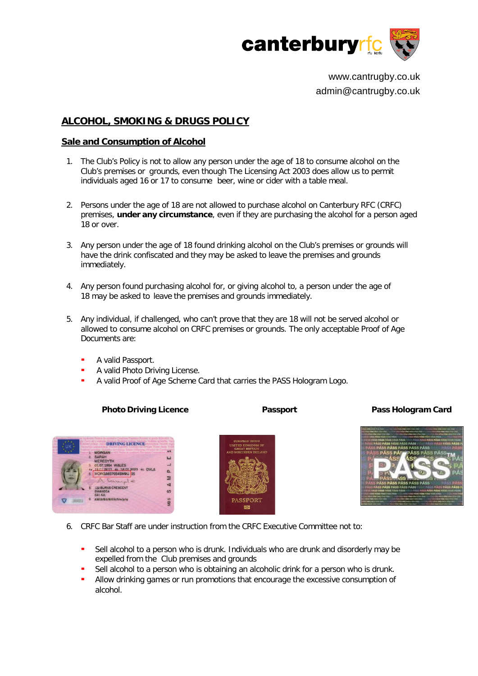

www.cantrugby.co.uk admin@cantrugby.co.uk

# **ALCOHOL, SMOKING & DRUGS POLICY**

### **Sale and Consumption of Alcohol**

- 1. The Club's Policy is not to allow any person under the age of 18 to consume alcohol on the Club's premises or grounds, even though The Licensing Act 2003 does allow us to permit individuals aged 16 or 17 to consume beer, wine or cider with a table meal.
- 2. Persons under the age of 18 are not allowed to purchase alcohol on Canterbury RFC (CRFC) premises, **under any circumstance**, even if they are purchasing the alcohol for a person aged 18 or over.
- 3. Any person under the age of 18 found drinking alcohol on the Club's premises or grounds will have the drink confiscated and they may be asked to leave the premises and grounds immediately.
- 4. Any person found purchasing alcohol for, or giving alcohol to, a person under the age of 18 may be asked to leave the premises and grounds immediately.
- 5. Any individual, if challenged, who can't prove that they are 18 will not be served alcohol or allowed to consume alcohol on CRFC premises or grounds. The only acceptable Proof of Age Documents are:
	- A valid Passport.
	- A valid Photo Driving License.
	- A valid Proof of Age Scheme Card that carries the PASS Hologram Logo.

### **Photo Driving Licence Passport Pass Hologram Card**







- 6. CRFC Bar Staff are under instruction from the CRFC Executive Committee not to:
	- Sell alcohol to a person who is drunk. Individuals who are drunk and disorderly may be expelled from the Club premises and grounds
	- Sell alcohol to a person who is obtaining an alcoholic drink for a person who is drunk.
	- Allow drinking games or run promotions that encourage the excessive consumption of alcohol.